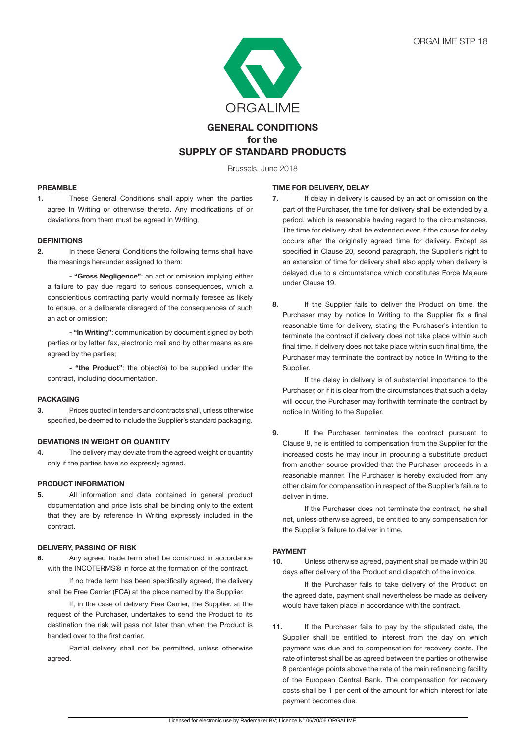

# **GENERAL CONDITIONS for the SUPPLY OF STANDARD PRODUCTS**

Brussels, June 2018

# **PREAMBLE**

**1.** These General Conditions shall apply when the parties agree In Writing or otherwise thereto. Any modifications of or deviations from them must be agreed In Writing.

# **DEFINITIONS**

**2.** In these General Conditions the following terms shall have the meanings hereunder assigned to them:

 **- "Gross Negligence"**: an act or omission implying either a failure to pay due regard to serious consequences, which a conscientious contracting party would normally foresee as likely to ensue, or a deliberate disregard of the consequences of such an act or omission;

**- "In Writing"**: communication by document signed by both parties or by letter, fax, electronic mail and by other means as are agreed by the parties;

 **- "the Product"**: the object(s) to be supplied under the contract, including documentation.

# **PACKAGING**

**3.** Prices quoted in tenders and contracts shall, unless otherwise specified, be deemed to include the Supplier's standard packaging.

# **DEVIATIONS IN WEIGHT OR QUANTITY**

**4.** The delivery may deviate from the agreed weight or quantity only if the parties have so expressly agreed.

# **PRODUCT INFORMATION**

**5.** All information and data contained in general product documentation and price lists shall be binding only to the extent that they are by reference In Writing expressly included in the contract.

# **DELIVERY, PASSING OF RISK**

**6.** Any agreed trade term shall be construed in accordance with the INCOTERMS® in force at the formation of the contract.

If no trade term has been specifically agreed, the delivery shall be Free Carrier (FCA) at the place named by the Supplier.

If, in the case of delivery Free Carrier, the Supplier, at the request of the Purchaser, undertakes to send the Product to its destination the risk will pass not later than when the Product is handed over to the first carrier.

 Partial delivery shall not be permitted, unless otherwise agreed.

#### **TIME FOR DELIVERY, DELAY**

- **7.** If delay in delivery is caused by an act or omission on the part of the Purchaser, the time for delivery shall be extended by a period, which is reasonable having regard to the circumstances. The time for delivery shall be extended even if the cause for delay occurs after the originally agreed time for delivery. Except as specified in Clause 20, second paragraph, the Supplier's right to an extension of time for delivery shall also apply when delivery is delayed due to a circumstance which constitutes Force Majeure under Clause 19.
- **8.** If the Supplier fails to deliver the Product on time, the Purchaser may by notice In Writing to the Supplier fix a final reasonable time for delivery, stating the Purchaser's intention to terminate the contract if delivery does not take place within such final time. If delivery does not take place within such final time, the Purchaser may terminate the contract by notice In Writing to the Supplier.

If the delay in delivery is of substantial importance to the Purchaser, or if it is clear from the circumstances that such a delay will occur, the Purchaser may forthwith terminate the contract by notice In Writing to the Supplier.

**9.** If the Purchaser terminates the contract pursuant to Clause 8, he is entitled to compensation from the Supplier for the increased costs he may incur in procuring a substitute product from another source provided that the Purchaser proceeds in a reasonable manner. The Purchaser is hereby excluded from any other claim for compensation in respect of the Supplier's failure to deliver in time.

If the Purchaser does not terminate the contract, he shall not, unless otherwise agreed, be entitled to any compensation for the Supplier´s failure to deliver in time.

#### **PAYMENT**

**10.** Unless otherwise agreed, payment shall be made within 30 days after delivery of the Product and dispatch of the invoice.

If the Purchaser fails to take delivery of the Product on the agreed date, payment shall nevertheless be made as delivery would have taken place in accordance with the contract.

**11.** If the Purchaser fails to pay by the stipulated date, the Supplier shall be entitled to interest from the day on which payment was due and to compensation for recovery costs. The rate of interest shall be as agreed between the parties or otherwise 8 percentage points above the rate of the main refinancing facility of the European Central Bank. The compensation for recovery costs shall be 1 per cent of the amount for which interest for late payment becomes due.